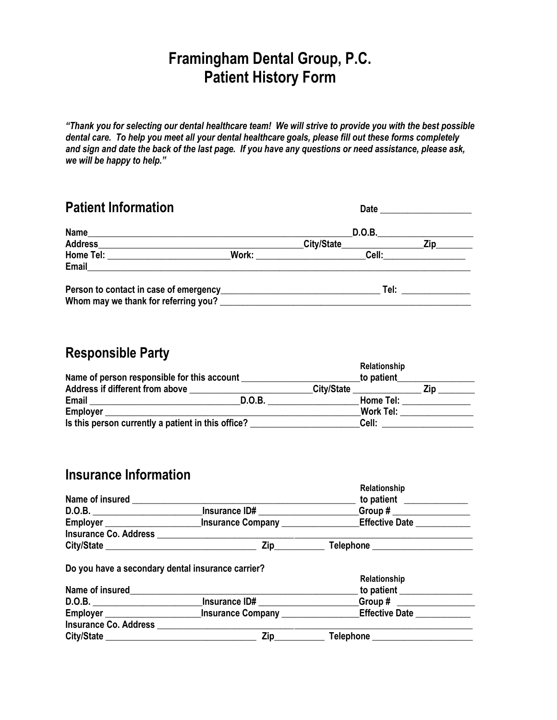# **Framingham Dental Group, P.C. Patient History Form**

*"Thank you for selecting our dental healthcare team! We will strive to provide you with the best possible dental care. To help you meet all your dental healthcare goals, please fill out these forms completely and sign and date the back of the last page. If you have any questions or need assistance, please ask, we will be happy to help."*

| <b>Patient Information</b>                                                                                                                                                                                                    |                                                                                                                                                                                                                                         | Date                                          |
|-------------------------------------------------------------------------------------------------------------------------------------------------------------------------------------------------------------------------------|-----------------------------------------------------------------------------------------------------------------------------------------------------------------------------------------------------------------------------------------|-----------------------------------------------|
| Name                                                                                                                                                                                                                          |                                                                                                                                                                                                                                         | D.O.B.                                        |
|                                                                                                                                                                                                                               | City/State                                                                                                                                                                                                                              | <b>Zip</b>                                    |
| Home Tel: the contract of the contract of the contract of the contract of the contract of the contract of the contract of the contract of the contract of the contract of the contract of the contract of the contract of the | Work: when the contract of the contract of the contract of the contract of the contract of the contract of the contract of the contract of the contract of the contract of the contract of the contract of the contract of the<br>Cell: |                                               |
| Email and the contract of the contract of the contract of the contract of the contract of the contract of the                                                                                                                 |                                                                                                                                                                                                                                         |                                               |
| Whom may we thank for referring you?                                                                                                                                                                                          |                                                                                                                                                                                                                                         | Tel:<br><u> 1999 - Jan Barnett, politik e</u> |

## **Responsible Party**

| Name of person responsible for this account        |               |                   | Relationship<br>to patient |     |
|----------------------------------------------------|---------------|-------------------|----------------------------|-----|
| Address if different from above                    |               | <b>City/State</b> |                            | Zip |
| Email                                              | <b>D.O.B.</b> |                   | Home Tel:                  |     |
| <b>Employer</b>                                    |               |                   | Work Tel:                  |     |
| Is this person currently a patient in this office? |               |                   | Cell:                      |     |

## **Insurance Information**

| Name of insured              |                          | Relationship<br>to patient |  |
|------------------------------|--------------------------|----------------------------|--|
| D.O.B.                       | Insurance ID#            | Group#                     |  |
| Employer                     | <b>Insurance Company</b> | <b>Effective Date</b>      |  |
| <b>Insurance Co. Address</b> |                          |                            |  |
| City/State                   | Zin                      | <b>Telephone</b>           |  |

### **Do you have a secondary dental insurance carrier?**

| Name of insured              |                          | Relationship<br>to patient |  |
|------------------------------|--------------------------|----------------------------|--|
| <b>D.O.B.</b>                | Insurance ID#            | Group#                     |  |
| Employer                     | <b>Insurance Company</b> | <b>Effective Date</b>      |  |
| <b>Insurance Co. Address</b> |                          |                            |  |
| <b>City/State</b>            | Zin                      | Telephone                  |  |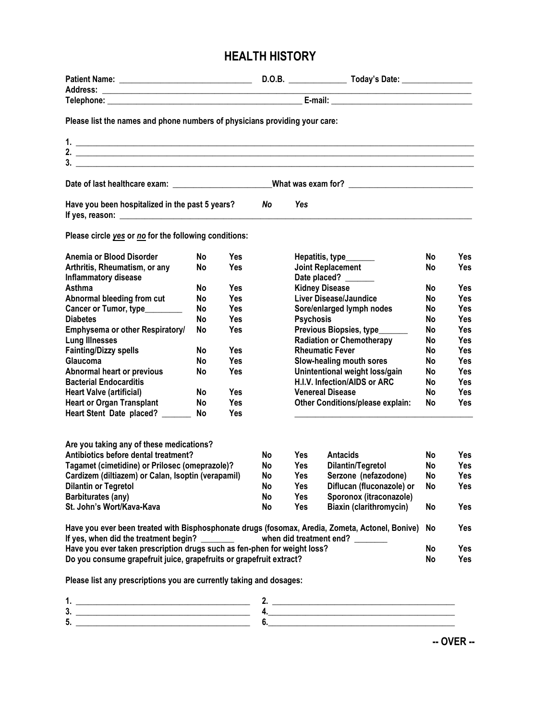## **HEALTH HISTORY**

| Please list the names and phone numbers of physicians providing your care:                                                               |                 |                          |           |                  |                                  |           |            |
|------------------------------------------------------------------------------------------------------------------------------------------|-----------------|--------------------------|-----------|------------------|----------------------------------|-----------|------------|
|                                                                                                                                          |                 |                          |           |                  |                                  |           |            |
| 2. $\overline{\phantom{a}}$                                                                                                              |                 |                          |           |                  |                                  |           |            |
| $\frac{1}{2}$                                                                                                                            |                 |                          |           |                  |                                  |           |            |
| Date of last healthcare exam: ______________________________What was exam for? _______________________________                           |                 |                          |           |                  |                                  |           |            |
| Have you been hospitalized in the past 5 years?                                                                                          |                 |                          | No.       | Yes              |                                  |           |            |
| Please circle yes or no for the following conditions:                                                                                    |                 |                          |           |                  |                                  |           |            |
| Anemia or Blood Disorder                                                                                                                 | <b>No</b>       | <b>Yes</b>               |           |                  | Hepatitis, type______            | No        | Yes        |
| Arthritis, Rheumatism, or any                                                                                                            | <b>No</b>       | <b>Yes</b>               |           |                  | Joint Replacement                | No        | <b>Yes</b> |
| <b>Inflammatory disease</b>                                                                                                              |                 |                          |           |                  | Date placed?                     |           |            |
| Asthma                                                                                                                                   | <b>No</b>       | <b>Yes</b>               |           |                  | <b>Kidney Disease</b>            | No        | Yes        |
| Abnormal bleeding from cut                                                                                                               | No              | <b>Yes</b>               |           |                  | Liver Disease/Jaundice           | No        | Yes.       |
| Cancer or Tumor, type________                                                                                                            | No              | Yes                      |           |                  | Sore/enlarged lymph nodes        | No        | Yes        |
| <b>Diabetes</b>                                                                                                                          | No              | Yes                      |           | <b>Psychosis</b> |                                  | No        | Yes        |
| Emphysema or other Respiratory/                                                                                                          | No              | Yes                      |           |                  | Previous Biopsies, type______    | No        | Yes        |
| <b>Lung Illnesses</b>                                                                                                                    |                 |                          |           |                  | <b>Radiation or Chemotherapy</b> | No        | Yes        |
| <b>Fainting/Dizzy spells</b>                                                                                                             | No              | <b>Yes</b>               |           |                  | <b>Rheumatic Fever</b>           | No        | <b>Yes</b> |
| Glaucoma                                                                                                                                 | <b>No</b>       | <b>Yes</b>               |           |                  | Slow-healing mouth sores         | No        | Yes        |
| <b>Abnormal heart or previous</b>                                                                                                        | No              | <b>Yes</b>               |           |                  | Unintentional weight loss/gain   | No        | <b>Yes</b> |
| <b>Bacterial Endocarditis</b>                                                                                                            |                 |                          |           |                  | H.I.V. Infection/AIDS or ARC     | No        | <b>Yes</b> |
| <b>Heart Valve (artificial)</b>                                                                                                          | <b>No</b>       | <b>Yes</b>               |           |                  | <b>Venereal Disease</b>          | No        | <b>Yes</b> |
| <b>Heart or Organ Transplant</b><br>Heart Stent Date placed? ______                                                                      | <b>No</b><br>No | <b>Yes</b><br><b>Yes</b> |           |                  | Other Conditions/please explain: | No        | <b>Yes</b> |
|                                                                                                                                          |                 |                          |           |                  |                                  |           |            |
| Are you taking any of these medications?                                                                                                 |                 |                          |           |                  |                                  |           |            |
| Antibiotics before dental treatment?                                                                                                     |                 |                          | <b>No</b> | Yes              | <b>Antacids</b>                  | No        | <b>Yes</b> |
| Tagamet (cimetidine) or Prilosec (omeprazole)?                                                                                           |                 |                          | No        | Yes              | Dilantin/Tegretol                | No        | <b>Yes</b> |
| Cardizem (diltiazem) or Calan, Isoptin (verapamil)                                                                                       |                 |                          | No        | Yes              | Serzone (nefazodone)             | <b>No</b> | Yes        |
| <b>Dilantin or Tegretol</b>                                                                                                              |                 |                          | No        | Yes              | Diflucan (fluconazole) or        | No        | Yes        |
| Barbiturates (any)                                                                                                                       |                 |                          | No        | Yes              | Sporonox (itraconazole)          |           |            |
| St. John's Wort/Kava-Kava                                                                                                                |                 |                          | No        | Yes              | Biaxin (clarithromycin)          | No        | Yes        |
| Have you ever been treated with Bisphosphonate drugs (fosomax, Aredia, Zometa, Actonel, Bonive)<br>If yes, when did the treatment begin? |                 |                          |           |                  | when did treatment end? ______   | No        | Yes        |
| Have you ever taken prescription drugs such as fen-phen for weight loss?                                                                 |                 |                          |           |                  |                                  | No        | Yes        |
| Do you consume grapefruit juice, grapefruits or grapefruit extract?                                                                      |                 |                          |           |                  |                                  | No        | Yes        |
| Please list any prescriptions you are currently taking and dosages:                                                                      |                 |                          |           |                  |                                  |           |            |

**-- OVER --**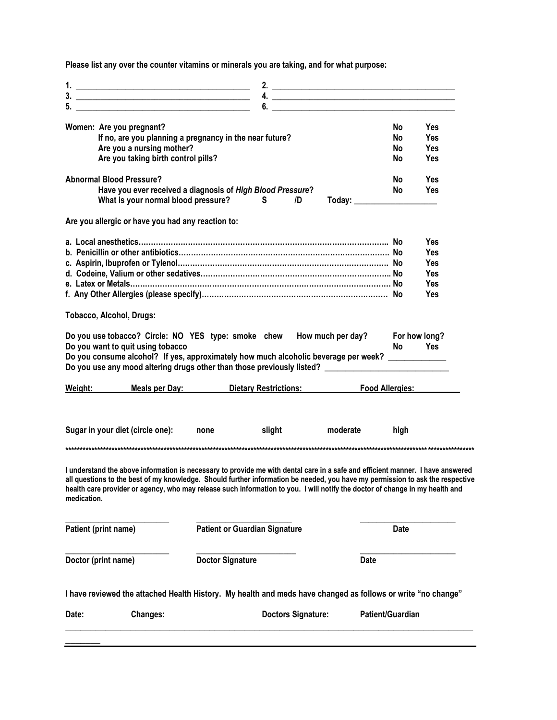**Please list any over the counter vitamins or minerals you are taking, and for what purpose:**

|                                                                                                                                                                                                                                                                                                                                                                                                                                                                                                                                                                               |                                      |                                      |    |          |             |           | 4. $\overline{\phantom{a}}$ |
|-------------------------------------------------------------------------------------------------------------------------------------------------------------------------------------------------------------------------------------------------------------------------------------------------------------------------------------------------------------------------------------------------------------------------------------------------------------------------------------------------------------------------------------------------------------------------------|--------------------------------------|--------------------------------------|----|----------|-------------|-----------|-----------------------------|
|                                                                                                                                                                                                                                                                                                                                                                                                                                                                                                                                                                               |                                      |                                      | 6. |          |             |           |                             |
| Women: Are you pregnant?                                                                                                                                                                                                                                                                                                                                                                                                                                                                                                                                                      |                                      |                                      |    |          |             | No        | <b>Yes</b>                  |
| If no, are you planning a pregnancy in the near future?                                                                                                                                                                                                                                                                                                                                                                                                                                                                                                                       |                                      |                                      |    |          |             | <b>No</b> | Yes                         |
| Are you a nursing mother?                                                                                                                                                                                                                                                                                                                                                                                                                                                                                                                                                     |                                      |                                      |    |          |             | No        | <b>Yes</b>                  |
| Are you taking birth control pills?                                                                                                                                                                                                                                                                                                                                                                                                                                                                                                                                           |                                      |                                      |    |          |             | No        | <b>Yes</b>                  |
| <b>Abnormal Blood Pressure?</b>                                                                                                                                                                                                                                                                                                                                                                                                                                                                                                                                               |                                      |                                      |    |          |             | <b>No</b> | Yes                         |
| Have you ever received a diagnosis of High Blood Pressure?<br>What is your normal blood pressure?                                                                                                                                                                                                                                                                                                                                                                                                                                                                             |                                      | S.                                   | /D |          |             | <b>No</b> | Yes                         |
| Are you allergic or have you had any reaction to:                                                                                                                                                                                                                                                                                                                                                                                                                                                                                                                             |                                      |                                      |    |          |             |           |                             |
|                                                                                                                                                                                                                                                                                                                                                                                                                                                                                                                                                                               |                                      |                                      |    |          |             |           | <b>Yes</b>                  |
|                                                                                                                                                                                                                                                                                                                                                                                                                                                                                                                                                                               |                                      |                                      |    |          |             |           | Yes                         |
|                                                                                                                                                                                                                                                                                                                                                                                                                                                                                                                                                                               |                                      |                                      |    |          |             |           | Yes                         |
|                                                                                                                                                                                                                                                                                                                                                                                                                                                                                                                                                                               |                                      |                                      |    |          |             |           | Yes                         |
|                                                                                                                                                                                                                                                                                                                                                                                                                                                                                                                                                                               |                                      |                                      |    |          |             |           | Yes                         |
|                                                                                                                                                                                                                                                                                                                                                                                                                                                                                                                                                                               |                                      |                                      |    |          |             |           | Yes                         |
| <b>Tobacco, Alcohol, Drugs:</b>                                                                                                                                                                                                                                                                                                                                                                                                                                                                                                                                               |                                      |                                      |    |          |             |           |                             |
|                                                                                                                                                                                                                                                                                                                                                                                                                                                                                                                                                                               |                                      |                                      |    |          |             |           |                             |
|                                                                                                                                                                                                                                                                                                                                                                                                                                                                                                                                                                               |                                      |                                      |    |          |             |           | For how long?               |
|                                                                                                                                                                                                                                                                                                                                                                                                                                                                                                                                                                               |                                      |                                      |    |          |             | No.       | <b>Yes</b>                  |
|                                                                                                                                                                                                                                                                                                                                                                                                                                                                                                                                                                               |                                      |                                      |    |          |             |           |                             |
|                                                                                                                                                                                                                                                                                                                                                                                                                                                                                                                                                                               |                                      |                                      |    |          |             |           |                             |
|                                                                                                                                                                                                                                                                                                                                                                                                                                                                                                                                                                               |                                      |                                      |    |          |             |           | <b>Food Allergies:</b>      |
|                                                                                                                                                                                                                                                                                                                                                                                                                                                                                                                                                                               | Meals per Day: Dietary Restrictions: |                                      |    |          |             |           |                             |
|                                                                                                                                                                                                                                                                                                                                                                                                                                                                                                                                                                               | none                                 | slight                               |    | moderate |             | high      |                             |
| Do you use tobacco? Circle: NO YES type: smoke chew How much per day?<br>Do you want to quit using tobacco<br>Do you consume alcohol? If yes, approximately how much alcoholic beverage per week? ____________<br>Do you use any mood altering drugs other than those previously listed? ____________________________<br>Weight:<br>Sugar in your diet (circle one):                                                                                                                                                                                                          |                                      |                                      |    |          |             |           |                             |
|                                                                                                                                                                                                                                                                                                                                                                                                                                                                                                                                                                               |                                      |                                      |    |          |             |           |                             |
|                                                                                                                                                                                                                                                                                                                                                                                                                                                                                                                                                                               |                                      | <b>Patient or Guardian Signature</b> |    |          |             | Date      |                             |
|                                                                                                                                                                                                                                                                                                                                                                                                                                                                                                                                                                               | <b>Doctor Signature</b>              |                                      |    |          | <b>Date</b> |           |                             |
| I understand the above information is necessary to provide me with dental care in a safe and efficient manner. I have answered<br>all questions to the best of my knowledge. Should further information be needed, you have my permission to ask the respective<br>health care provider or agency, who may release such information to you. I will notify the doctor of change in my health and<br>medication.<br>Patient (print name)<br>Doctor (print name)<br>I have reviewed the attached Health History. My health and meds have changed as follows or write "no change" |                                      |                                      |    |          |             |           |                             |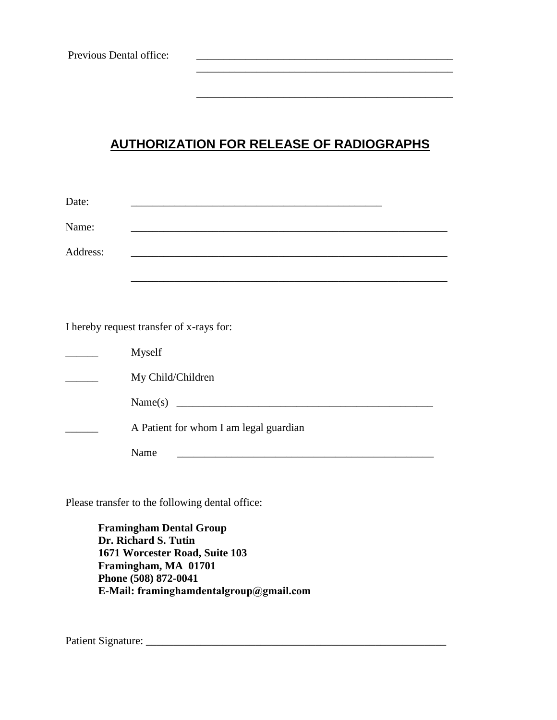## **AUTHORIZATION FOR RELEASE OF RADIOGRAPHS**

\_\_\_\_\_\_\_\_\_\_\_\_\_\_\_\_\_\_\_\_\_\_\_\_\_\_\_\_\_\_\_\_\_\_\_\_\_\_\_\_\_\_\_\_\_\_\_

\_\_\_\_\_\_\_\_\_\_\_\_\_\_\_\_\_\_\_\_\_\_\_\_\_\_\_\_\_\_\_\_\_\_\_\_\_\_\_\_\_\_\_\_\_\_\_

| Date:    |                                                                                                                  |
|----------|------------------------------------------------------------------------------------------------------------------|
| Name:    | <u> 1989 - Johann Stoff, amerikansk politiker (d. 1989)</u>                                                      |
| Address: | and the control of the control of the control of the control of the control of the control of the control of the |
|          |                                                                                                                  |
|          |                                                                                                                  |
|          |                                                                                                                  |
|          | I hereby request transfer of x-rays for:                                                                         |
|          | Myself                                                                                                           |
|          | My Child/Children                                                                                                |
|          |                                                                                                                  |
|          | A Patient for whom I am legal guardian                                                                           |
|          | Name                                                                                                             |

Please transfer to the following dental office:

**Framingham Dental Group Dr. Richard S. Tutin 1671 Worcester Road, Suite 103 Framingham, MA 01701 Phone (508) 872-0041 E-Mail: framinghamdentalgroup@gmail.com**

Patient Signature: \_\_\_\_\_\_\_\_\_\_\_\_\_\_\_\_\_\_\_\_\_\_\_\_\_\_\_\_\_\_\_\_\_\_\_\_\_\_\_\_\_\_\_\_\_\_\_\_\_\_\_\_\_\_\_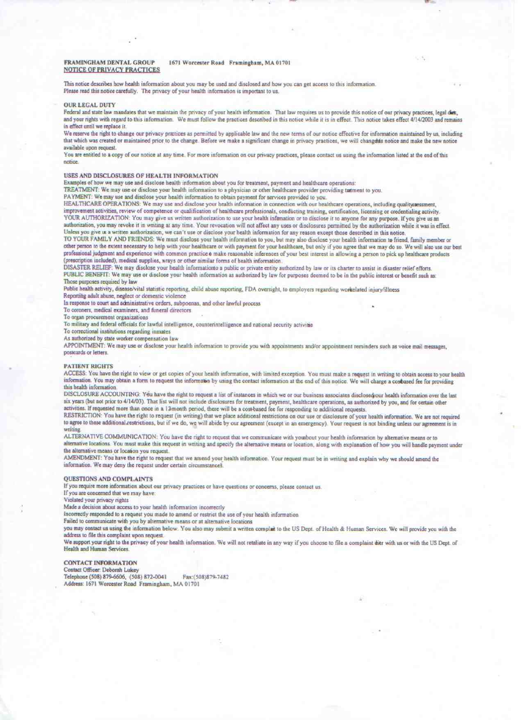#### FRAMINGHAM DENTAL GROUP 1671 Worcester Road Framingham, MA 01701 **NOTICE OF PRIVACY PRACTICES**

This notice describes how health information about you may be used and disclosed and how you can get access to this information. Please read this notice carefully. The privacy of your health information is important to us.

**OUR LEGAL DUTY** 

Federal and state law mandates that we maintain the privacy of your health information. That law requires us to provide this notice of our privacy practices, legal dies, and your rights with regard to this information. We must follow the practices described in this notice while it is in effect. This notice takes effect 4/14/2003 and remains in effect until we replace it.

We reserve the right to change our privacy practices as permitted by applicable law and the new terms of our notice effective for information maintained by us, including that which was created or maintained prior to the change. Before we make a significant change in privacy practices, we will changents notice and make the new notice available upon request.

You are entitled to a copy of our notice at any time. For more information on our privacy practices, please contact us using the information listed at the end of this notice.

#### USES AND DISCLOSURES OF HEALTH INFORMATION

Examples of how we may use and disclose health information about you for treatment, payment and healthcare operations:

TREATMENT: We may use or disclose your health information to a physician or other healthcare provider providing tatment to you.

PAYMENT: We may use and disclose your health information to obtain payment for services provided to you.

HEALTHCARE OPERATIONS: We may use and disclose your health information in connection with our healthcare operations, including qualitysaessment, improvement activities, review of competence or qualification of healthcare professionals, conducting training, certification, licensing or credentialing activity.

YOUR AUTHORIZATION: You may give us written authorization to use your health infimation or to disclose it to anyone for any purpose. If you give us an authorization, you may revoke it in writing at any time. Your revocation will not affect any uses or disclosures permitted by the authorization while it was in effect. Unless you give us a written authorization, we can't use or disclose your health information for any reason except those described in this notice.

TO YOUR FAMILY AND FRIENDS: We must disclose your health information to you, but may also disclose your health information to friend, family member or other person to the extent necessary to help with your healthcare or with payment for your healthcare, but only if you agree that we may do so. We will also use our best professional judgment and experience with common practice & make reasonable inferences of your best interest in allowing a person to pick up healthcare products (prescription included), medical supplies, wrays or other similar forms of health information.

DISASTER RELIEF: We may disclose your health information to a public or private entity authorized by law or its charter to assist in disaster relief efforts. PUBLIC BENEFIT. We may use or disclose your health information as authorized by law for purposes deemed to be in the public interest or benefit such as: Those purposes required by law

Public health activity, disease/vital statistic reporting, child abuse reporting, FDA oversight, to employers regarding workelated injury/illness

Reporting adult abuse, neglect or domestic violence

In response to court and administrative orders, subpoenas, and other lawful process

To coroners, medical examiners, and funeral directors

To organ procurement organizations

To military and federal officials for lawful intelligence, counterintelligence and national security activitie

To correctional institutions regarding inmates

As authorized by state worker compensation law

APPOINTMENT: We may use or disclose your health information to provide you with appointments and/or appointment reminders such as voice mail messages, postcards or letters.

#### **PATIENT RIGHTS**

ACCESS: You have the right to view or get copies of your health information, with limited exception. You must make a request in writing to obtain access to your health information. You may obtain a form to request the information by using the contact information at the end of this notice. We will charge a cosbased fee for providing this health information.

DISCLOSURE ACCOUNTING: You have the right to request a list of instances in which we or our business associates disclosed our health information over the last six years (but not prior to 4/14/03). That list will not include disclosures for treatment, payment, healthcare operations, as authorized by you, and for certain other activities. If requested more than once in a 12-month period, there will be a cost-based fee for responding to additional requests.

RESTRICTION: You have the right to request (in writing) that we place additional restrictions on our use or disclosure of your health information. We are not required to agree to these additional restrictions, but if we do, we will abide by our agreement (except in an emergency). Your request is not binding unless our agreement is in writing

ALTERNATIVE COMMUNICATION: You have the right to request that we communicate with yousbout your health information by alternative means or to alternative locations. You must make this request in writing and specify the alternative means or location, along with explanation of how you will handle payment under the alternative means or location you request.

AMENDMENT: You have the right to request that we amend your health information. Your request must be in writing and explain why we should amend the information. We may deny the request under certain circumstances.

#### **OUESTIONS AND COMPLAINTS**

If you require more information about our privacy practices or have questions or concerns, please contact us.

If you are concerned that we may have:

Violated your privacy rights

Made a decision about access to your health information incorrectly

Incorrectly responded to a request you made to amend or restrict the use of your health information

Failed to communicate with you by alternative means or at alternative locations

you may contact us using the information below. You also may submit a written complat to the US Dept. of Health & Human Services. We will provide you with the address to file this complaint upon request.

We support your right to the privacy of your health information. We will not retaliate in any way if you choose to file a complaint dier with us or with the US Dept. of Health and Human Services

#### **CONTACT INFORMATION**

Contact Officer: Deborah Lukey Telephone (508) 879-6606, (508) 872-0041 Fax:(508)879-7482 Address: 1671 Worcester Road Framingham, MA 01701